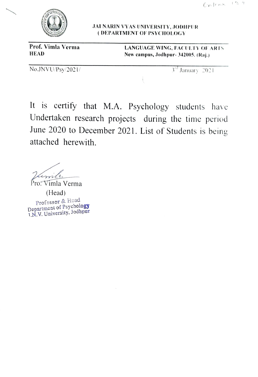

## JAI NARIN VYAS UNIVERSITY, JODIPUR (DEPARTMENT OF PSYCHOLOGY

Prof. Vimla Verma<br>
HEAD Mew campus, Jodhnur-342005 (Rai) New campus, Jodhpur- 342005. (Raj.)

 $\text{No.JNVU/Ps}$ y/2021/  $3^{\text{rd}}$  January 2021

It is certify that M.A. Psychology students have Undertaken research projects during the time period June 2020 to December 2021. List of Students is being attached herewith.

imi

Pro: Vimla Verma

(Head) Professor & Head Department of Psychology T.N.V. University, Jodhpur